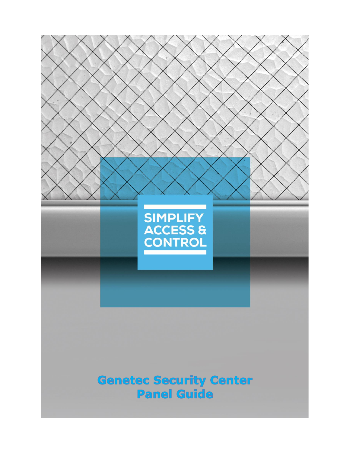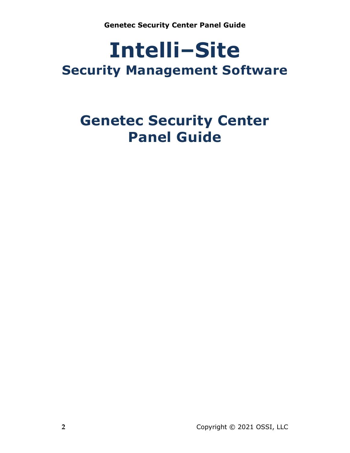# **Intelli‒Site Security Management Software**

# **Genetec Security Center Panel Guide**

**2** Copyright © 2021 OSSI, LLC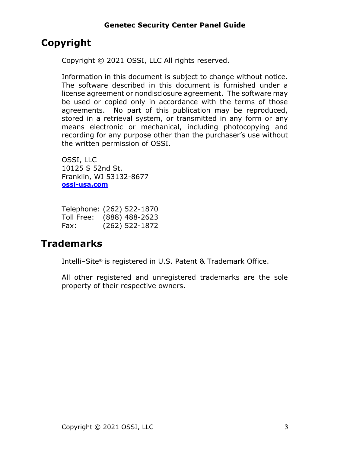## <span id="page-2-0"></span>**Copyright**

Copyright © 2021 OSSI, LLC All rights reserved.

Information in this document is subject to change without notice. The software described in this document is furnished under a license agreement or nondisclosure agreement. The software may be used or copied only in accordance with the terms of those agreements. No part of this publication may be reproduced, stored in a retrieval system, or transmitted in any form or any means electronic or mechanical, including photocopying and recording for any purpose other than the purchaser's use without the written permission of OSSI.

OSSI, LLC 10125 S 52nd St. Franklin, WI 53132-8677 **[ossi-usa.com](http://ossi-usa.com/)**

| Telephone: (262) 522-1870 |                  |
|---------------------------|------------------|
| Toll Free:                | $(888)$ 488-2623 |
| Fax:                      | $(262)$ 522-1872 |

## <span id="page-2-1"></span>**Trademarks**

Intelli-Site® is registered in U.S. Patent & Trademark Office.

All other registered and unregistered trademarks are the sole property of their respective owners.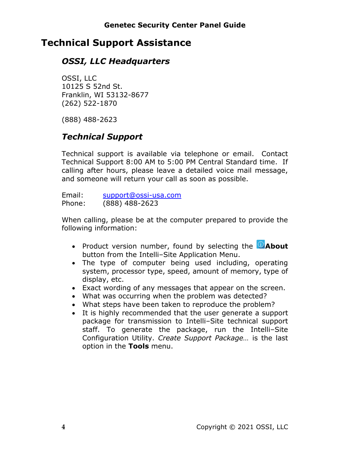## <span id="page-3-0"></span>**Technical Support Assistance**

## *OSSI, LLC Headquarters*

OSSI, LLC 10125 S 52nd St. Franklin, WI 53132-8677 (262) 522-1870

(888) 488-2623

## *Technical Support*

Technical support is available via telephone or email. Contact Technical Support 8:00 AM to 5:00 PM Central Standard time. If calling after hours, please leave a detailed voice mail message, and someone will return your call as soon as possible.

Email: [support@ossi-usa.com](mailto:support@ossi-usa.com) Phone: (888) 488-2623

When calling, please be at the computer prepared to provide the following information:

- Product version number, found by selecting the **C**About button from the Intelli-Site Application Menu.
- The type of computer being used including, operating system, processor type, speed, amount of memory, type of display, etc.
- Exact wording of any messages that appear on the screen.
- What was occurring when the problem was detected?
- What steps have been taken to reproduce the problem?
- It is highly recommended that the user generate a support package for transmission to Intelli-Site technical support staff. To generate the package, run the Intelli-Site Configuration Utility. *Create Support Package…* is the last option in the **Tools** menu.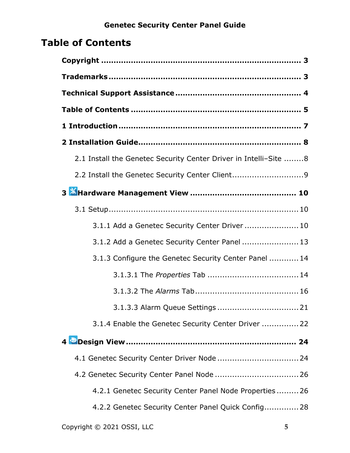# <span id="page-4-0"></span>**Table of Contents**

| 2.1 Install the Genetec Security Center Driver in Intelli-Site 8 |
|------------------------------------------------------------------|
| 2.2 Install the Genetec Security Center Client9                  |
|                                                                  |
|                                                                  |
| 3.1.1 Add a Genetec Security Center Driver  10                   |
| 3.1.2 Add a Genetec Security Center Panel  13                    |
| 3.1.3 Configure the Genetec Security Center Panel  14            |
|                                                                  |
|                                                                  |
|                                                                  |
| 3.1.4 Enable the Genetec Security Center Driver  22              |
|                                                                  |
|                                                                  |
| 4.2 Genetec Security Center Panel Node  26                       |
| 4.2.1 Genetec Security Center Panel Node Properties 26           |
| 4.2.2 Genetec Security Center Panel Quick Config 28              |
|                                                                  |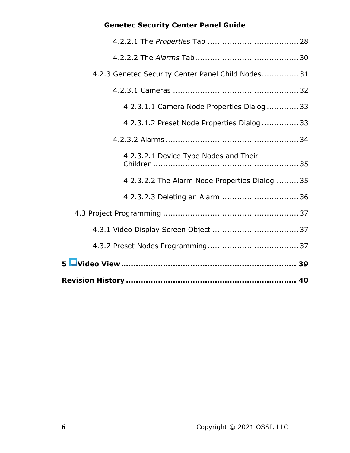| 4.2.3 Genetec Security Center Panel Child Nodes 31 |
|----------------------------------------------------|
|                                                    |
| 4.2.3.1.1 Camera Node Properties Dialog  33        |
| 4.2.3.1.2 Preset Node Properties Dialog  33        |
|                                                    |
| 4.2.3.2.1 Device Type Nodes and Their              |
| 4.2.3.2.2 The Alarm Node Properties Dialog 35      |
| 4.2.3.2.3 Deleting an Alarm 36                     |
|                                                    |
|                                                    |
|                                                    |
|                                                    |
|                                                    |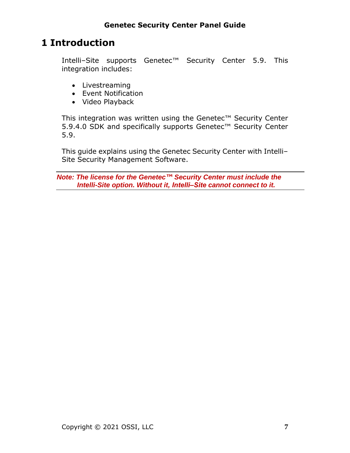# <span id="page-6-0"></span>**1 Introduction**

Intelli-Site supports Genetec<sup>™</sup> Security Center 5.9. This integration includes:

- Livestreaming
- Event Notification
- Video Playback

This integration was written using the Genetec™ Security Center 5.9.4.0 SDK and specifically supports Genetec™ Security Center 5.9.

This guide explains using the Genetec Security Center with Intelli-Site Security Management Software.

*Note: The license for the Genetec™ Security Center must include the Intelli-Site option. Without it, Intelli‒Site cannot connect to it.*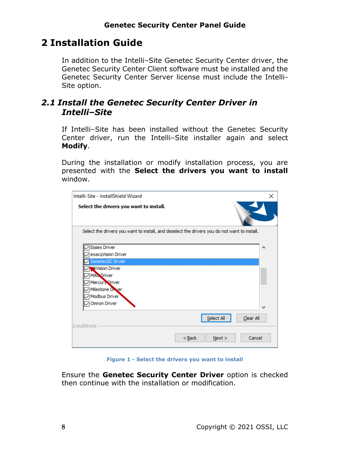## <span id="page-7-0"></span>**2 Installation Guide**

In addition to the Intelli-Site Genetec Security Center driver, the Genetec Security Center Client software must be installed and the Genetec Security Center Server license must include the Intelli-Site option.

## <span id="page-7-1"></span>*2.1 Install the Genetec Security Center Driver in Intelli‒Site*

If Intelli-Site has been installed without the Genetec Security Center driver, run the Intelli-Site installer again and select **Modify**.

During the installation or modify installation process, you are presented with the **Select the drivers you want to install** window.

| Intelli-Site - InstallShield Wizard                                                          | × |
|----------------------------------------------------------------------------------------------|---|
| Select the drivers you want to install.                                                      |   |
| Select the drivers you want to install, and deselect the drivers you do not want to install. |   |
| <b>Essex Driver</b><br>exacqVision Driver                                                    | ∧ |
| GenetecSC Drvier<br><b><i>*</i></b> Wision Driver                                            |   |
| <b>MAC Driver</b><br>Mercury Oriver                                                          |   |
| Milestone Driver<br>Modbus Driver                                                            |   |
| Omron Driver                                                                                 |   |
| Select All<br>Clear All<br><b>InstallShield</b>                                              |   |
| $Back$<br>Cancel<br>Next >                                                                   |   |

**Figure 1 - Select the drivers you want to install**

Ensure the **Genetec Security Center Driver** option is checked then continue with the installation or modification.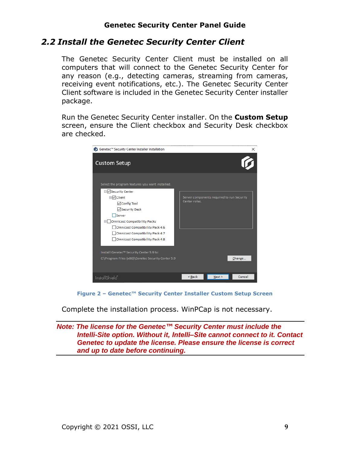## <span id="page-8-0"></span>*2.2 Install the Genetec Security Center Client*

The Genetec Security Center Client must be installed on all computers that will connect to the Genetec Security Center for any reason (e.g., detecting cameras, streaming from cameras, receiving event notifications, etc.). The Genetec Security Center Client software is included in the Genetec Security Center installer package.

Run the Genetec Security Center installer. On the **Custom Setup** screen, ensure the Client checkbox and Security Desk checkbox are checked.

| ic Genetec™ Security Center Installer Installation                                                                                                                                                                                                                                                                                                                                                              |               |                                            | ×      |
|-----------------------------------------------------------------------------------------------------------------------------------------------------------------------------------------------------------------------------------------------------------------------------------------------------------------------------------------------------------------------------------------------------------------|---------------|--------------------------------------------|--------|
| <b>Custom Setup</b>                                                                                                                                                                                                                                                                                                                                                                                             |               |                                            |        |
| Select the program features you want installed.<br>□√ Security Center<br><b>□</b> ○Client<br><b>⊘</b> Config Tool<br>√Security Desk<br>Server<br>□ Omnicast Compatibility Packs<br><b>Omnicast Compatibility Pack 4.6</b><br><b>Omnicast Compatibility Pack 4.7</b><br><b>Omnicast Compatibility Pack 4.8</b><br>Install Genetec™ Security Center 5.9 to:<br>C:\Program Files (x86)\Genetec Security Center 5.9 | Center roles. | Server components required to run Security | Change |
|                                                                                                                                                                                                                                                                                                                                                                                                                 |               |                                            |        |
| InstallShield <sup>*</sup>                                                                                                                                                                                                                                                                                                                                                                                      | < Back        | Next                                       | Cancel |

**Figure 2 – Genetec™ Security Center Installer Custom Setup Screen**

Complete the installation process. WinPCap is not necessary.

*Note: The license for the Genetec™ Security Center must include the Intelli-Site option. Without it, Intelli‒Site cannot connect to it. Contact Genetec to update the license. Please ensure the license is correct and up to date before continuing.*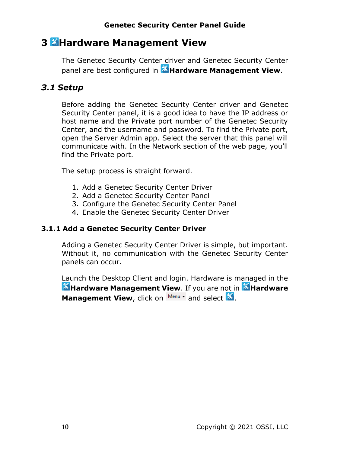## <span id="page-9-0"></span>**3 Hardware Management View**

The Genetec Security Center driver and Genetec Security Center panel are best configured in **Hardware Management View**.

## <span id="page-9-1"></span>*3.1 Setup*

Before adding the Genetec Security Center driver and Genetec Security Center panel, it is a good idea to have the IP address or host name and the Private port number of the Genetec Security Center, and the username and password. To find the Private port, open the Server Admin app. Select the server that this panel will communicate with. In the Network section of the web page, you'll find the Private port.

The setup process is straight forward.

- 1. Add a Genetec Security Center Driver
- 2. Add a Genetec Security Center Panel
- 3. Configure the Genetec Security Center Panel
- 4. Enable the Genetec Security Center Driver

#### <span id="page-9-2"></span>**3.1.1 Add a Genetec Security Center Driver**

Adding a Genetec Security Center Driver is simple, but important. Without it, no communication with the Genetec Security Center panels can occur.

Launch the Desktop Client and login. Hardware is managed in the **Hardware Management View**. If you are not in **Allardware** Management View, click on Menu v and select **28**.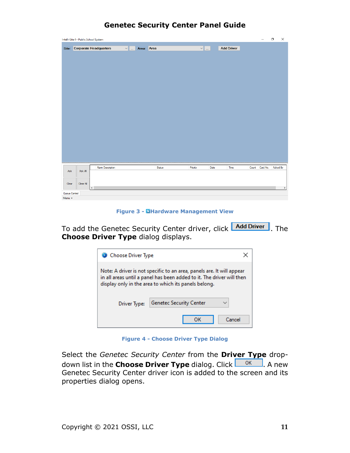|                         | Intelli-Site 4 - Public School System |                              |               |        |               |      |                   |       | -        | $\Box$   | $\times$ |
|-------------------------|---------------------------------------|------------------------------|---------------|--------|---------------|------|-------------------|-------|----------|----------|----------|
|                         |                                       | Site: Corporate Headquarters | v  Area: Area |        | $\vee$ $\Box$ |      | <b>Add Driver</b> |       |          |          |          |
|                         |                                       |                              |               |        |               |      |                   |       |          |          |          |
|                         |                                       |                              |               |        |               |      |                   |       |          |          |          |
|                         |                                       |                              |               |        |               |      |                   |       |          |          |          |
|                         |                                       |                              |               |        |               |      |                   |       |          |          |          |
|                         |                                       |                              |               |        |               |      |                   |       |          |          |          |
|                         |                                       |                              |               |        |               |      |                   |       |          |          |          |
|                         |                                       |                              |               |        |               |      |                   |       |          |          |          |
|                         |                                       |                              |               |        |               |      |                   |       |          |          |          |
|                         |                                       |                              |               |        |               |      |                   |       |          |          |          |
|                         |                                       |                              |               |        |               |      |                   |       |          |          |          |
|                         |                                       |                              |               |        |               |      |                   |       |          |          |          |
|                         |                                       |                              |               |        |               |      |                   |       |          |          |          |
|                         |                                       |                              |               |        |               |      |                   |       |          |          |          |
|                         |                                       |                              |               |        |               |      |                   |       |          |          |          |
|                         |                                       |                              |               |        |               |      |                   |       |          |          |          |
|                         |                                       |                              |               |        |               |      |                   |       |          |          |          |
|                         |                                       |                              |               |        |               |      |                   |       |          |          |          |
| Ack                     | Ack All                               | <b>Alam Description</b>      |               | Status | Priority      | Date | Time              | Count | Card No. | Acked By |          |
|                         |                                       |                              |               |        |               |      |                   |       |          |          |          |
| Clear                   | Clear All                             |                              |               |        |               |      |                   |       |          |          |          |
|                         |                                       | $\langle$                    |               |        |               |      |                   |       |          |          | $\,$     |
| Queue Control<br>Menu - |                                       |                              |               |        |               |      |                   |       |          |          |          |

#### **Figure 3 - Hardware Management View**

To add the Genetec Security Center driver, click **Add Driver**, The **Choose Driver Type** dialog displays.

| Choose Driver Type                                                                                                                                                                                     |                                |  |  |  |  |
|--------------------------------------------------------------------------------------------------------------------------------------------------------------------------------------------------------|--------------------------------|--|--|--|--|
| Note: A driver is not specific to an area, panels are. It will appear<br>in all areas until a panel has been added to it. The driver will then<br>display only in the area to which its panels belong. |                                |  |  |  |  |
| Driver Type:                                                                                                                                                                                           | <b>Genetec Security Center</b> |  |  |  |  |
|                                                                                                                                                                                                        | Cancel                         |  |  |  |  |

**Figure 4 - Choose Driver Type Dialog**

Select the *Genetec Security Center* from the **Driver Type** dropdown list in the **Choose Driver Type** dialog. Click **COK A** new Genetec Security Center driver icon is added to the screen and its properties dialog opens.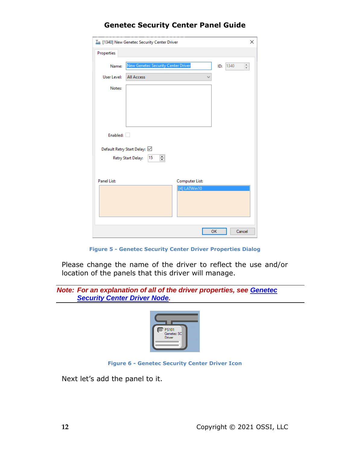| $T_{\rm m}$ [1340] New Genetec Security Center Driver | ×                              |
|-------------------------------------------------------|--------------------------------|
| Properties                                            |                                |
| New Genetec Security Center Driver<br>Name:           | $\frac{a}{\pi}$<br>1340<br>ID: |
| User Level:<br><b>All Access</b>                      |                                |
| Notes:                                                |                                |
|                                                       |                                |
|                                                       |                                |
|                                                       |                                |
| Enabled:                                              |                                |
| Default Retry Start Delay: ☑                          |                                |
| ÷<br>15<br><b>Retry Start Delay:</b>                  |                                |
|                                                       |                                |
| <b>Panel List:</b>                                    | Computer List:                 |
|                                                       | [4] LATWin10                   |
|                                                       |                                |
|                                                       |                                |
|                                                       |                                |
|                                                       | OK<br>Cancel                   |

**Figure 5 - Genetec Security Center Driver Properties Dialog**

Please change the name of the driver to reflect the use and/or location of the panels that this driver will manage.

*Note: For an explanation of all of the driver properties, see [Genetec](#page-23-2)  Security Center Driver Node.*



**Figure 6 - Genetec Security Center Driver Icon**

Next let's add the panel to it.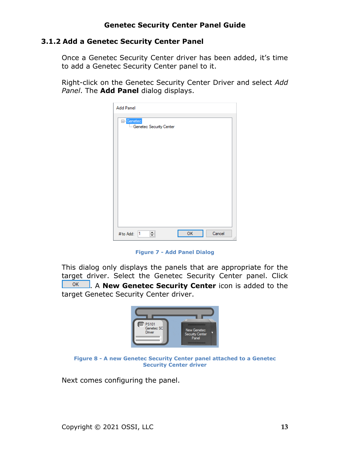#### <span id="page-12-0"></span>**3.1.2 Add a Genetec Security Center Panel**

Once a Genetec Security Center driver has been added, it's time to add a Genetec Security Center panel to it.

Right-click on the Genetec Security Center Driver and select *Add Panel*. The **Add Panel** dialog displays.

| <b>Add Panel</b>                                   |            |
|----------------------------------------------------|------------|
| <mark>⊟⊪</mark> Genetec<br>Genetec Security Center |            |
|                                                    |            |
|                                                    |            |
|                                                    |            |
|                                                    |            |
|                                                    |            |
| <b>OK</b><br>$\div$<br>#to Add: 1                  | Cancel<br> |

**Figure 7 - Add Panel Dialog**

This dialog only displays the panels that are appropriate for the target driver. Select the Genetec Security Center panel. Click **EXECU EXECUTE:** A **New Genetec Security Center** icon is added to the target Genetec Security Center driver.



**Figure 8 - A new Genetec Security Center panel attached to a Genetec Security Center driver**

Next comes configuring the panel.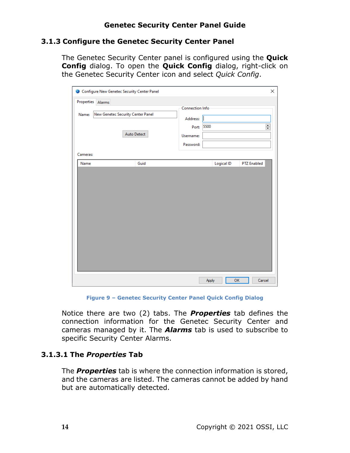#### <span id="page-13-0"></span>**3.1.3 Configure the Genetec Security Center Panel**

The Genetec Security Center panel is configured using the **Quick Config** dialog. To open the **Quick Config** dialog, right-click on the Genetec Security Center icon and select *Quick Config*.

| Configure New Genetec Security Center Panel |                    |                        |             | ×                  |
|---------------------------------------------|--------------------|------------------------|-------------|--------------------|
| Properties Alarms                           |                    |                        |             |                    |
|                                             |                    | <b>Connection Info</b> |             |                    |
| New Genetec Security Center Panel<br>Name:  |                    | Address:               |             |                    |
|                                             |                    | Port:                  | 5500        | $\div$             |
|                                             | <b>Auto Detect</b> | Username:              |             |                    |
|                                             |                    | Password:              |             |                    |
| Cameras:                                    |                    |                        |             |                    |
| Name                                        | Guid               |                        | Logical ID  | <b>PTZ Enabled</b> |
|                                             |                    |                        |             |                    |
|                                             |                    |                        | OK<br>Apply | Cancel             |

**Figure 9 – Genetec Security Center Panel Quick Config Dialog**

Notice there are two (2) tabs. The *Properties* tab defines the connection information for the Genetec Security Center and cameras managed by it. The *Alarms* tab is used to subscribe to specific Security Center Alarms.

#### <span id="page-13-1"></span>**3.1.3.1 The** *Properties* **Tab**

The *Properties* tab is where the connection information is stored, and the cameras are listed. The cameras cannot be added by hand but are automatically detected.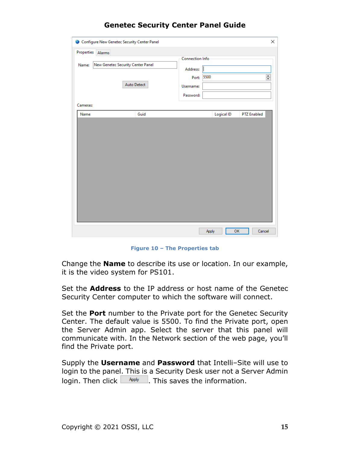|                                                                                                                                                                    | ×                  |
|--------------------------------------------------------------------------------------------------------------------------------------------------------------------|--------------------|
| Properties<br>Alarms<br>Connection Info<br>New Genetec Security Center Panel<br>Name:<br>Address:<br>5500<br>Port:<br><b>Auto Detect</b><br>Username:<br>Password: | $\div$             |
| Cameras:                                                                                                                                                           |                    |
| Logical ID<br>Guid<br>Name                                                                                                                                         | <b>PTZ Enabled</b> |
|                                                                                                                                                                    |                    |
| Apply                                                                                                                                                              | OK<br>Cancel       |

**Figure 10 – The Properties tab**

Change the **Name** to describe its use or location. In our example, it is the video system for PS101.

Set the **Address** to the IP address or host name of the Genetec Security Center computer to which the software will connect.

Set the **Port** number to the Private port for the Genetec Security Center. The default value is 5500. To find the Private port, open the Server Admin app. Select the server that this panel will communicate with. In the Network section of the web page, you'll find the Private port.

Supply the **Username** and **Password** that Intelli‒Site will use to login to the panel. This is a Security Desk user not a Server Admin login. Then click  $\Box$  Apply  $\Box$ . This saves the information.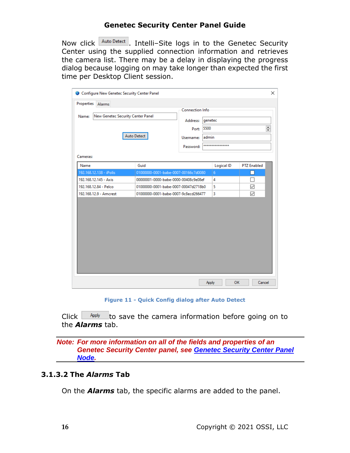Now click  $\frac{\text{Auto Detect}}{\text{I}}$ . Intelli-Site logs in to the Genetec Security Center using the supplied connection information and retrieves the camera list. There may be a delay in displaying the progress dialog because logging on may take longer than expected the first time per Desktop Client session.

| Alarms<br>New Genetec Security Center Panel<br>Name: | Auto Detect                          | <b>Connection Info</b><br>Address:<br>Port:<br>Username:<br>Password: | genetec<br>5500<br>admin<br>**************** | $\frac{1}{\tau}$   |
|------------------------------------------------------|--------------------------------------|-----------------------------------------------------------------------|----------------------------------------------|--------------------|
| Cameras:<br>Name                                     | Guid                                 |                                                                       | <b>Logical ID</b>                            | <b>PTZ Enabled</b> |
| 192.168.12.138 - iPolis                              | 01000000-0001-babe-0007-00166c7d0080 |                                                                       | 6                                            |                    |
| 192.168.12.145 - Axis                                | 00000001-0000-babe-0000-00408c9e08ef |                                                                       | 4                                            |                    |
| 192.168.12.84 - Pelco                                | 01000000-0001-babe-0007-00047d2718b0 |                                                                       | 5                                            | $\checkmark$       |
| 192.168.12.9 - Amcrest                               | 01000000-0001-babe-0007-9c8ecd266477 |                                                                       | 3                                            | $\checkmark$       |
|                                                      |                                      |                                                                       |                                              |                    |

**Figure 11 - Quick Config dialog after Auto Detect**

Click  $\Box$  Apply to save the camera information before going on to the *Alarms* tab.

*Note: For more information on all of the fields and properties of an Genetec Security Center panel, see [Genetec Security Center](#page-25-2) Panel [Node.](#page-25-2)*

#### <span id="page-15-0"></span>**3.1.3.2 The** *Alarms* **Tab**

On the *Alarms* tab, the specific alarms are added to the panel.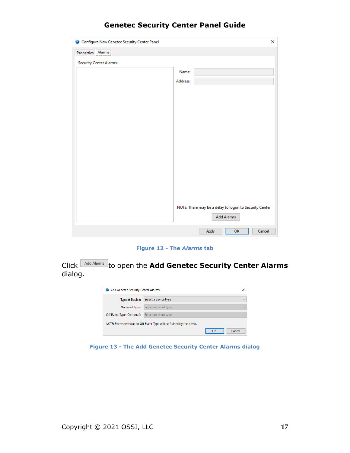| Configure New Genetec Security Center Panel | X                                                      |
|---------------------------------------------|--------------------------------------------------------|
| Properties Alarms                           |                                                        |
| <b>Security Center Alarms:</b>              |                                                        |
|                                             | Name:                                                  |
|                                             | Address:                                               |
|                                             |                                                        |
|                                             |                                                        |
|                                             |                                                        |
|                                             |                                                        |
|                                             |                                                        |
|                                             |                                                        |
|                                             |                                                        |
|                                             |                                                        |
|                                             |                                                        |
|                                             |                                                        |
|                                             |                                                        |
|                                             |                                                        |
|                                             | NOTE: There may be a delay to logon to Security Center |
|                                             | <b>Add Alarms</b>                                      |
|                                             | OK<br>Cancel<br>Apply                                  |

**Figure 12 - The** *Alarms* **tab**

Click **Add Alarms** to open the Add Genetec Security Center Alarms dialog.

| Add Genetec Security Center Alarms |                                                                      |    | ×            |
|------------------------------------|----------------------------------------------------------------------|----|--------------|
| <b>Type of Device:</b>             | Select a device type                                                 |    | $\checkmark$ |
| On Event Type:                     | Select an event type                                                 |    | $\sim$       |
| Off Event Type (Optional):         | Select an event type                                                 |    | $\sim$       |
|                                    | NOTE: Events without an Off Event Type will be Pulsed by the driver. |    |              |
|                                    |                                                                      | OK | Cancel       |

**Figure 13 - The Add Genetec Security Center Alarms dialog**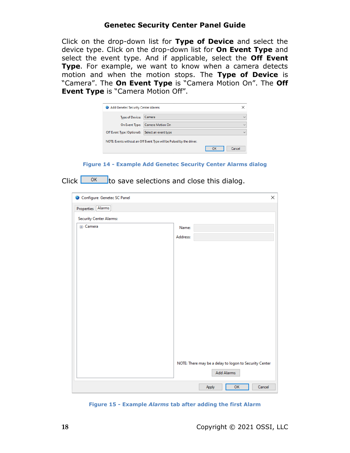Click on the drop-down list for **Type of Device** and select the device type. Click on the drop-down list for **On Event Type** and select the event type. And if applicable, select the **Off Event Type**. For example, we want to know when a camera detects motion and when the motion stops. The **Type of Device** is "Camera". The **On Event Type** is "Camera Motion On". The **Off Event Type** is "Camera Motion Off".

| Add Genetec Security Center Alarms |                                                                      |    |              |
|------------------------------------|----------------------------------------------------------------------|----|--------------|
| <b>Type of Device:</b>             | Camera                                                               |    | $\sim$       |
| On Event Type:                     | <b>Camera Motion On</b>                                              |    | $\checkmark$ |
| Off Event Type (Optional):         | Select an event type                                                 |    | $\checkmark$ |
|                                    | NOTE: Events without an Off Event Type will be Pulsed by the driver. |    |              |
|                                    |                                                                      | OK | Cancel       |

**Figure 14 - Example Add Genetec Security Center Alarms dialog**

Click  $\frac{K}{K}$  to save selections and close this dialog.

| Configure Genetec SC Panel     |                                                        | × |
|--------------------------------|--------------------------------------------------------|---|
| Properties Alarms              |                                                        |   |
| <b>Security Center Alarms:</b> |                                                        |   |
| <b>E</b> -Camera               | Name:                                                  |   |
|                                | Address:                                               |   |
|                                |                                                        |   |
|                                |                                                        |   |
|                                |                                                        |   |
|                                |                                                        |   |
|                                |                                                        |   |
|                                |                                                        |   |
|                                |                                                        |   |
|                                |                                                        |   |
|                                |                                                        |   |
|                                |                                                        |   |
|                                |                                                        |   |
|                                |                                                        |   |
|                                | NOTE: There may be a delay to logon to Security Center |   |
|                                | <b>Add Alarms</b>                                      |   |
|                                |                                                        |   |
|                                | OK<br>Cancel<br>Apply                                  |   |

**Figure 15 - Example** *Alarms* **tab after adding the first Alarm**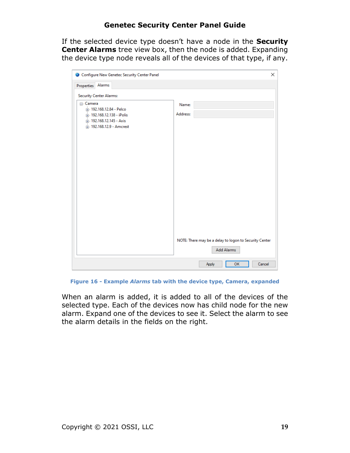If the selected device type doesn't have a node in the **Security Center Alarms** tree view box, then the node is added. Expanding the device type node reveals all of the devices of that type, if any.

| Configure New Genetec Security Center Panel                                                                                 | ×                                                                           |
|-----------------------------------------------------------------------------------------------------------------------------|-----------------------------------------------------------------------------|
| Alarms<br>Properties                                                                                                        |                                                                             |
| <b>Security Center Alarms:</b>                                                                                              |                                                                             |
| ⊟- Camera<br>由: 192.168.12.84 - Pelco<br>in 192.168.12.138 - iPolis<br>in 192.168.12.145 - Axis<br>南 192.168.12.9 - Amcrest | Name:<br>Address:                                                           |
|                                                                                                                             | NOTE: There may be a delay to logon to Security Center<br><b>Add Alarms</b> |
|                                                                                                                             | OK<br>Cancel<br>Apply                                                       |

**Figure 16 - Example** *Alarms* **tab with the device type, Camera, expanded**

When an alarm is added, it is added to all of the devices of the selected type. Each of the devices now has child node for the new alarm. Expand one of the devices to see it. Select the alarm to see the alarm details in the fields on the right.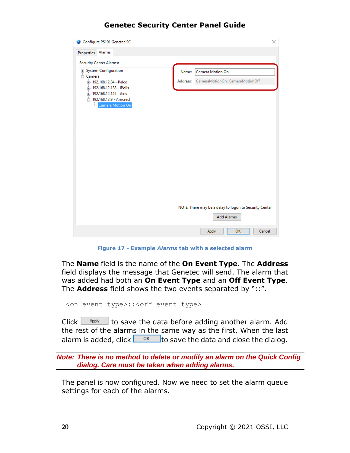| Configure PS101 Genetec SC                             |          |                                                        | X |
|--------------------------------------------------------|----------|--------------------------------------------------------|---|
| Alarms<br>Properties                                   |          |                                                        |   |
| <b>Security Center Alarms:</b>                         |          |                                                        |   |
| <b>E</b> -System Configuration                         | Name:    | Camera Motion On                                       |   |
| <sub>□</sub> . Camera<br>中 192.168.12.84 - Pelco       | Address: | CameraMotionOn::CameraMotionOff                        |   |
| in 192.168.12.138 - iPolis<br>ri-192.168.12.145 - Axis |          |                                                        |   |
| □ 192.168.12.9 - Amcrest                               |          |                                                        |   |
| Camera Motion On                                       |          |                                                        |   |
|                                                        |          |                                                        |   |
|                                                        |          |                                                        |   |
|                                                        |          |                                                        |   |
|                                                        |          |                                                        |   |
|                                                        |          |                                                        |   |
|                                                        |          |                                                        |   |
|                                                        |          |                                                        |   |
|                                                        |          |                                                        |   |
|                                                        |          |                                                        |   |
|                                                        |          | NOTE: There may be a delay to logon to Security Center |   |
|                                                        |          | <b>Add Alarms</b>                                      |   |
|                                                        |          |                                                        |   |
|                                                        |          | OK<br>Cancel<br>Apply                                  |   |

**Figure 17 - Example** *Alarms* **tab with a selected alarm**

The **Name** field is the name of the **On Event Type**. The **Address**  field displays the message that Genetec will send. The alarm that was added had both an **On Event Type** and an **Off Event Type**. The **Address** field shows the two events separated by "::".

```
<on event type>::<off event type>
```
Click  $\Box$  Apply  $\Box$  to save the data before adding another alarm. Add the rest of the alarms in the same way as the first. When the last alarm is added, click  $\frac{0.06}{0.06}$  to save the data and close the dialog.

*Note: There is no method to delete or modify an alarm on the Quick Config dialog. Care must be taken when adding alarms.*

The panel is now configured. Now we need to set the alarm queue settings for each of the alarms.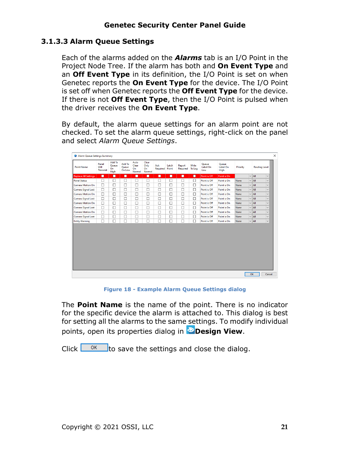### <span id="page-20-0"></span>**3.1.3.3 Alarm Queue Settings**

Each of the alarms added on the *Alarms* tab is an I/O Point in the Project Node Tree. If the alarm has both and **On Event Type** and an **Off Event Type** in its definition, the I/O Point is set on when Genetec reports the **On Event Type** for the device. The I/O Point is set off when Genetec reports the **Off Event Type** for the device. If there is not **Off Event Type**, then the I/O Point is pulsed when the driver receives the **On Event Type**.

By default, the alarm queue settings for an alarm point are not checked. To set the alarm queue settings, right-click on the panel and select *Alarm Queue Settings*.

| <b>Point Name</b>                           | Panel<br>Will<br>Transmit | Add To<br>Queue<br>On<br>High | Add To<br>Queue<br>On Low | Auto<br>Clear<br>On<br>Normal | Clear<br>Only<br>On<br>Normal | Ack<br>Required | Latch<br>Point | Report<br>Required | Write<br>To Log | <b>Oueue</b><br>Label On<br>Low | <b>Oueue</b><br>Label On<br>High | Priority    |              | <b>Routing Level</b> |              |
|---------------------------------------------|---------------------------|-------------------------------|---------------------------|-------------------------------|-------------------------------|-----------------|----------------|--------------------|-----------------|---------------------------------|----------------------------------|-------------|--------------|----------------------|--------------|
| <b>Replace All Settings</b>                 | Π                         | п                             | П                         | п                             | п                             | п               | п              | п                  | Ε               | Point is Off                    | Point is On                      |             | $\checkmark$ | All                  | $\backsim$   |
| <b>Panel Status</b>                         | $\Box$                    | □                             | □                         | $\Box$                        | $\Box$                        | $\Box$          | $\Box$         | $\Box$             | $\Box$          | Point is Off                    | Point is On                      | <b>None</b> |              | $\vee$ All           | $\backsim$   |
| <b>Camera Motion On</b>                     | $\Box$                    | П                             | П                         | $\Box$                        | $\Box$                        | □               | $\Box$         | Ò                  | $\Box$          | Point is Off                    | Point is On                      | <b>None</b> | $\checkmark$ | All                  | $\checkmark$ |
| Camera Signal Lost                          | $\Box$                    | $\Box$                        | $\Box$                    | $\Box$                        | $\Box$                        | $\Box$          | □              | $\Box$             | $\Box$          | Point is Off                    | Point is On                      | <b>None</b> | $\checkmark$ | All                  | $\sim$       |
| <b>Camera Motion On</b>                     | $\Box$                    | П                             | $\Box$                    | $\Box$                        | □                             | □               | □              | О                  | $\Box$          | Point is Off                    | Point is On                      | <b>None</b> |              | $\vee$ All           | $\checkmark$ |
| Camera Signal Lost                          | $\Box$                    | $\Box$                        | $\Box$                    | $\Box$                        | □                             | □               | □              | О                  | $\Box$          | Point is Off                    | Point is On                      | <b>None</b> | $\checkmark$ | All                  | $\checkmark$ |
| <b>Camera Motion On</b>                     | $\Box$                    | Π                             | $\Box$                    | $\Box$                        | □                             | □               | □              | $\Box$             | $\Box$          | Point is Off                    | Point is On                      | None        | $\checkmark$ | All                  | $\vee$       |
| Camera Signal Lost                          | □                         | □                             | $\Box$                    | □                             | □                             | □               | □              | □                  | $\Box$          | Point is Off                    | Point is On                      | None        |              | $\vee$ All           | $\backsim$   |
| <b>Camera Motion On</b>                     | □                         | □                             | □                         | □                             | □                             | □               | □              | □                  | □               | Point is Off                    | Point is On                      | None        | $\checkmark$ | All                  | $\checkmark$ |
|                                             | □                         | □                             | □                         | □                             | □                             | □               | □              | □                  | □               | Point is Off                    | Point is On                      | None        | $\checkmark$ | All                  | $\checkmark$ |
|                                             | П                         |                               | □                         | □                             | □                             | □               | □              | □                  | $\Box$          | Point is Off                    | Point is On                      | None        |              | $\vee$ All           | $\backsim$   |
| Camera Signal Lost<br><b>Entity Warning</b> |                           |                               |                           |                               |                               |                 |                |                    |                 |                                 |                                  |             |              |                      |              |

**Figure 18 - Example Alarm Queue Settings dialog**

The **Point Name** is the name of the point. There is no indicator for the specific device the alarm is attached to. This dialog is best for setting all the alarms to the same settings. To modify individual points, open its properties dialog in **Design View**.

Click  $\frac{K}{K}$  to save the settings and close the dialog.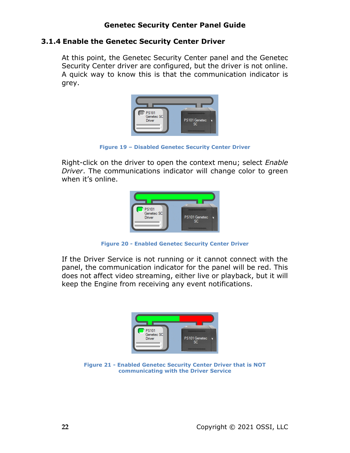#### <span id="page-21-0"></span>**3.1.4 Enable the Genetec Security Center Driver**

At this point, the Genetec Security Center panel and the Genetec Security Center driver are configured, but the driver is not online. A quick way to know this is that the communication indicator is grey.



**Figure 19 – Disabled Genetec Security Center Driver**

Right-click on the driver to open the context menu; select *Enable Driver*. The communications indicator will change color to green when it's online.



**Figure 20 - Enabled Genetec Security Center Driver**

If the Driver Service is not running or it cannot connect with the panel, the communication indicator for the panel will be red. This does not affect video streaming, either live or playback, but it will keep the Engine from receiving any event notifications.



**Figure 21 - Enabled Genetec Security Center Driver that is NOT communicating with the Driver Service**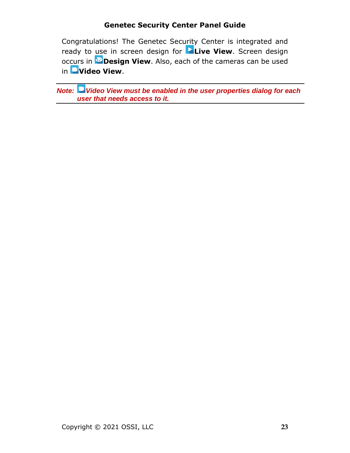Congratulations! The Genetec Security Center is integrated and ready to use in screen design for **Live View**. Screen design occurs in **Design View**. Also, each of the cameras can be used in **Video View**.

*Note: Video View must be enabled in the user properties dialog for each user that needs access to it.*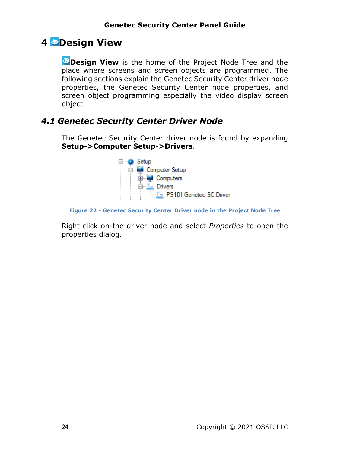## <span id="page-23-0"></span>**4 Design View**

**Design View** is the home of the Project Node Tree and the place where screens and screen objects are programmed. The following sections explain the Genetec Security Center driver node properties, the Genetec Security Center node properties, and screen object programming especially the video display screen object.

## <span id="page-23-2"></span><span id="page-23-1"></span>*4.1 Genetec Security Center Driver Node*

The Genetec Security Center driver node is found by expanding **Setup->Computer Setup->Drivers**.



**Figure 22 - Genetec Security Center Driver node in the Project Node Tree**

Right-click on the driver node and select *Properties* to open the properties dialog.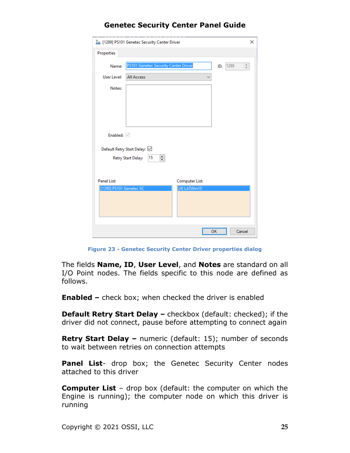| In [1289] PS101 Genetec Security Center Driver | ×                               |
|------------------------------------------------|---------------------------------|
| Properties                                     |                                 |
| PS101 Genetec Security Center Driver<br>Name:  | $\frac{1}{\tau}$<br>1289<br>ID: |
| User Level:<br><b>All Access</b>               |                                 |
| Notes:                                         |                                 |
|                                                |                                 |
|                                                |                                 |
|                                                |                                 |
|                                                |                                 |
| Enabled:                                       |                                 |
| Default Retry Start Delay: ☑                   |                                 |
| 칅<br>15<br>Retry Start Delay:                  |                                 |
|                                                |                                 |
| <b>Panel List:</b>                             | <b>Computer List:</b>           |
| [1290] PS101 Genetec SC                        | [4] LATWin10                    |
|                                                |                                 |
|                                                |                                 |
|                                                |                                 |
|                                                | OK<br>Cancel                    |

**Figure 23 - Genetec Security Center Driver properties dialog**

The fields **Name, ID**, **User Level**, and **Notes** are standard on all I/O Point nodes. The fields specific to this node are defined as follows.

**Enabled –** check box; when checked the driver is enabled

**Default Retry Start Delay –** checkbox (default: checked); if the driver did not connect, pause before attempting to connect again

**Retry Start Delay –** numeric (default: 15); number of seconds to wait between retries on connection attempts

**Panel List**- drop box; the Genetec Security Center nodes attached to this driver

**Computer List** – drop box (default: the computer on which the Engine is running); the computer node on which this driver is running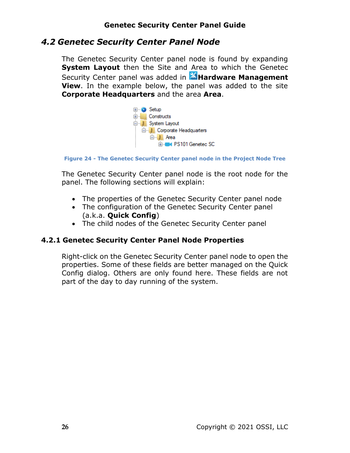## <span id="page-25-2"></span><span id="page-25-0"></span>*4.2 Genetec Security Center Panel Node*

The Genetec Security Center panel node is found by expanding **System Layout** then the Site and Area to which the Genetec Security Center panel was added in **Alardware Management View**. In the example below, the panel was added to the site **Corporate Headquarters** and the area **Area**.



**Figure 24 - The Genetec Security Center panel node in the Project Node Tree**

The Genetec Security Center panel node is the root node for the panel. The following sections will explain:

- The properties of the Genetec Security Center panel node
- The configuration of the Genetec Security Center panel (a.k.a. **Quick Config**)
- The child nodes of the Genetec Security Center panel

#### **4.2.1 Genetec Security Center Panel Node Properties**

<span id="page-25-1"></span>Right-click on the Genetec Security Center panel node to open the properties. Some of these fields are better managed on the Quick Config dialog. Others are only found here. These fields are not part of the day to day running of the system.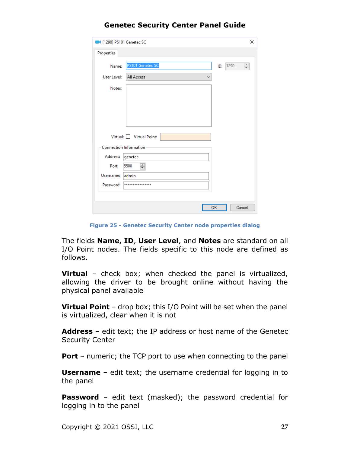| 1290] PS101 Genetec SC |                                   | ×                            |
|------------------------|-----------------------------------|------------------------------|
| Properties             |                                   |                              |
| Name:                  | PS101 Genetec SC                  | 1290<br>$\frac{+}{+}$<br>ID: |
| User Level:            | <b>All Access</b><br>$\checkmark$ |                              |
| Notes:                 |                                   |                              |
|                        |                                   |                              |
|                        |                                   |                              |
|                        |                                   |                              |
|                        |                                   |                              |
|                        | Virtual: Virtual Point:           |                              |
|                        | <b>Connection Information</b>     |                              |
| Address:               | genetec                           |                              |
| Port:                  | 츾<br>5500                         |                              |
| Username:              | admin                             |                              |
| Password:              | ****************                  |                              |
|                        |                                   |                              |
|                        |                                   | OK<br>Cancel                 |

**Figure 25 - Genetec Security Center node properties dialog**

The fields **Name, ID**, **User Level**, and **Notes** are standard on all I/O Point nodes. The fields specific to this node are defined as follows.

**Virtual** – check box; when checked the panel is virtualized, allowing the driver to be brought online without having the physical panel available

**Virtual Point** – drop box; this I/O Point will be set when the panel is virtualized, clear when it is not

**Address** – edit text; the IP address or host name of the Genetec Security Center

**Port** – numeric; the TCP port to use when connecting to the panel

**Username** – edit text; the username credential for logging in to the panel

**Password** – edit text (masked); the password credential for logging in to the panel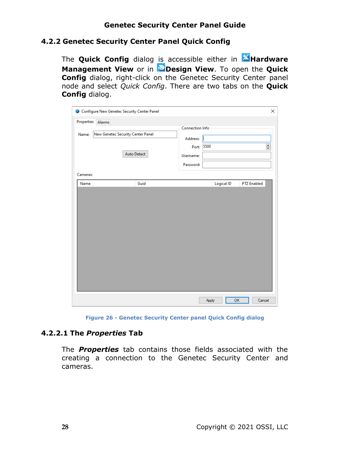### **4.2.2 Genetec Security Center Panel Quick Config**

<span id="page-27-0"></span>The **Quick Config** dialog is accessible either in **Alendware Management View** or in **Design View**. To open the **Quick Config** dialog, right-click on the Genetec Security Center panel node and select *Quick Config*. There are two tabs on the **Quick Config** dialog.

| Configure New Genetec Security Center Panel |                                   |                        |             | ×                  |
|---------------------------------------------|-----------------------------------|------------------------|-------------|--------------------|
| <b>Properties</b><br>Alarms                 |                                   |                        |             |                    |
| Name:                                       | New Genetec Security Center Panel | <b>Connection Info</b> |             |                    |
|                                             |                                   | Address:               |             |                    |
|                                             |                                   | Port:                  | 5500        | $\frac{1}{\tau}$   |
|                                             | <b>Auto Detect</b>                | Username:              |             |                    |
|                                             |                                   | Password:              |             |                    |
| Cameras:                                    |                                   |                        |             |                    |
| Name                                        | Guid                              |                        | Logical ID  | <b>PTZ Enabled</b> |
|                                             |                                   |                        |             |                    |
|                                             |                                   |                        | Apply<br>OK | Cancel             |

**Figure 26 - Genetec Security Center panel Quick Config dialog**

#### <span id="page-27-1"></span>**4.2.2.1 The** *Properties* **Tab**

The *Properties* tab contains those fields associated with the creating a connection to the Genetec Security Center and cameras.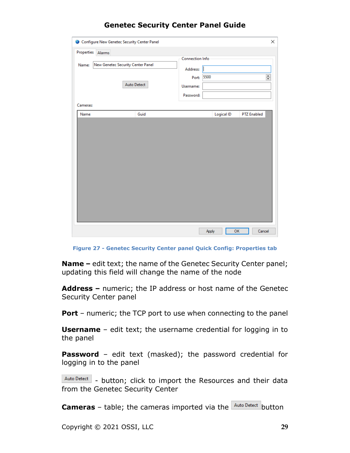| Properties<br>Alarms | Configure New Genetec Security Center Panel             |                                                                        | ×                  |
|----------------------|---------------------------------------------------------|------------------------------------------------------------------------|--------------------|
| Name:                | New Genetec Security Center Panel<br><b>Auto Detect</b> | Connection Info<br>Address:<br>5500<br>Port:<br>Username:<br>Password: | $\div$             |
| Cameras:<br>Name     | Guid                                                    | Logical ID                                                             | <b>PTZ Enabled</b> |
|                      |                                                         | Apply                                                                  | Cancel<br>OK       |

**Figure 27 - Genetec Security Center panel Quick Config: Properties tab**

**Name** – edit text; the name of the Genetec Security Center panel; updating this field will change the name of the node

**Address –** numeric; the IP address or host name of the Genetec Security Center panel

**Port** – numeric; the TCP port to use when connecting to the panel

**Username** – edit text; the username credential for logging in to the panel

**Password** – edit text (masked); the password credential for logging in to the panel

Auto Detect - button; click to import the Resources and their data from the Genetec Security Center

**Cameras** – table; the cameras imported via the **Auto Detect** button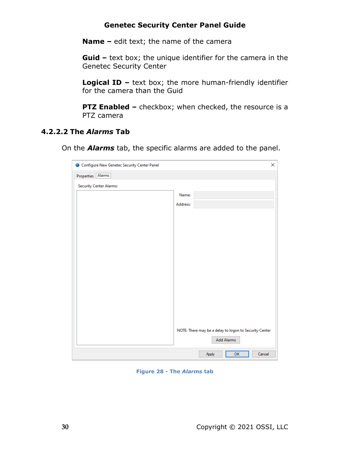**Name –** edit text; the name of the camera

**Guid –** text box; the unique identifier for the camera in the Genetec Security Center

**Logical ID –** text box; the more human-friendly identifier for the camera than the Guid

**PTZ Enabled -** checkbox; when checked, the resource is a PTZ camera

#### <span id="page-29-0"></span>**4.2.2.2 The** *Alarms* **Tab**

On the *Alarms* tab, the specific alarms are added to the panel.

| Configure New Genetec Security Center Panel | ×                                                      |
|---------------------------------------------|--------------------------------------------------------|
| Properties Alarms                           |                                                        |
| <b>Security Center Alarms:</b>              |                                                        |
|                                             | Name:                                                  |
|                                             | Address:                                               |
|                                             |                                                        |
|                                             |                                                        |
|                                             |                                                        |
|                                             |                                                        |
|                                             |                                                        |
|                                             |                                                        |
|                                             |                                                        |
|                                             |                                                        |
|                                             |                                                        |
|                                             |                                                        |
|                                             |                                                        |
|                                             |                                                        |
|                                             | NOTE: There may be a delay to logon to Security Center |
|                                             | <b>Add Alarms</b>                                      |
|                                             |                                                        |
|                                             | OK<br>Cancel<br>Apply                                  |

**Figure 28 - The** *Alarms* **tab**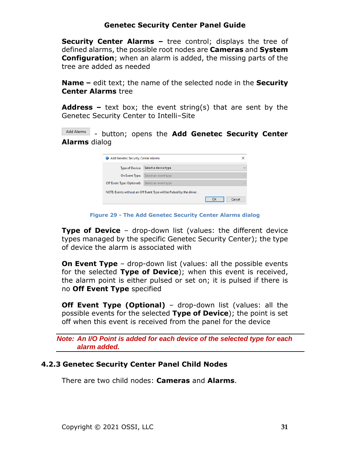**Security Center Alarms –** tree control; displays the tree of defined alarms, the possible root nodes are **Cameras** and **System Configuration**; when an alarm is added, the missing parts of the tree are added as needed

**Name –** edit text; the name of the selected node in the **Security Center Alarms** tree

**Address –** text box; the event string(s) that are sent by the Genetec Security Center to Intelli-Site

Add Alarms - button; opens the **Add Genetec Security Center Alarms** dialog

| ×<br>Add Genetec Security Center Alarms<br>₩                         |                      |              |  |  |  |  |
|----------------------------------------------------------------------|----------------------|--------------|--|--|--|--|
| <b>Type of Device:</b>                                               | Select a device type | $\checkmark$ |  |  |  |  |
| On Event Type:                                                       | Select an event type | $\sim$       |  |  |  |  |
| Off Event Type (Optional):                                           | Select an event type | $\sim$       |  |  |  |  |
| NOTE: Events without an Off Event Type will be Pulsed by the driver. |                      |              |  |  |  |  |
|                                                                      |                      | OK<br>Cancel |  |  |  |  |

**Figure 29 - The Add Genetec Security Center Alarms dialog**

**Type of Device** – drop-down list (values: the different device types managed by the specific Genetec Security Center); the type of device the alarm is associated with

**On Event Type** – drop-down list (values: all the possible events for the selected **Type of Device**); when this event is received, the alarm point is either pulsed or set on; it is pulsed if there is no **Off Event Type** specified

**Off Event Type (Optional)** – drop-down list (values: all the possible events for the selected **Type of Device**); the point is set off when this event is received from the panel for the device

*Note: An I/O Point is added for each device of the selected type for each alarm added.* 

#### **4.2.3 Genetec Security Center Panel Child Nodes**

<span id="page-30-0"></span>There are two child nodes: **Cameras** and **Alarms**.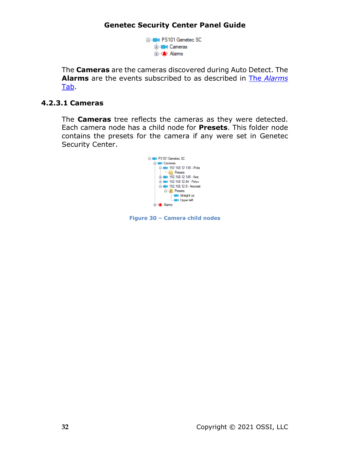

The **Cameras** are the cameras discovered during Auto Detect. The **Alarms** are the events subscribed to as described in The *[Alarms](#page-29-0)* [Tab.](#page-29-0)

#### <span id="page-31-0"></span>**4.2.3.1 Cameras**

The **Cameras** tree reflects the cameras as they were detected. Each camera node has a child node for **Presets**. This folder node contains the presets for the camera if any were set in Genetec Security Center.



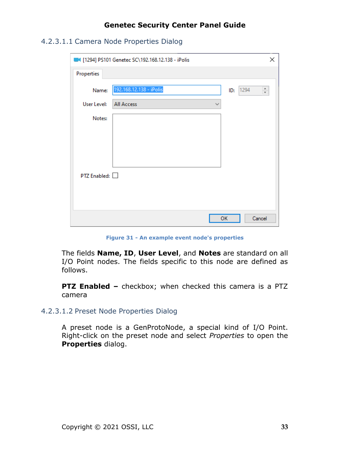<span id="page-32-0"></span>4.2.3.1.1 Camera Node Properties Dialog

|                | 1294] PS101 Genetec SC\192.168.12.138 - iPolis | $\times$                     |
|----------------|------------------------------------------------|------------------------------|
| Properties     |                                                |                              |
| Name:          | 192.168.12.138 - iPolis                        | 1294<br>$\frac{+}{+}$<br>ID: |
| User Level:    | All Access<br>∨                                |                              |
| Notes:         |                                                |                              |
|                |                                                |                              |
|                |                                                |                              |
|                |                                                |                              |
| PTZ Enabled: □ |                                                |                              |
|                |                                                |                              |
|                | OK                                             | Cancel                       |
|                |                                                |                              |

**Figure 31 - An example event node's properties**

The fields **Name, ID**, **User Level**, and **Notes** are standard on all I/O Point nodes. The fields specific to this node are defined as follows.

**PTZ Enabled –** checkbox; when checked this camera is a PTZ camera

<span id="page-32-1"></span>4.2.3.1.2 Preset Node Properties Dialog

A preset node is a GenProtoNode, a special kind of I/O Point. Right-click on the preset node and select *Properties* to open the **Properties** dialog.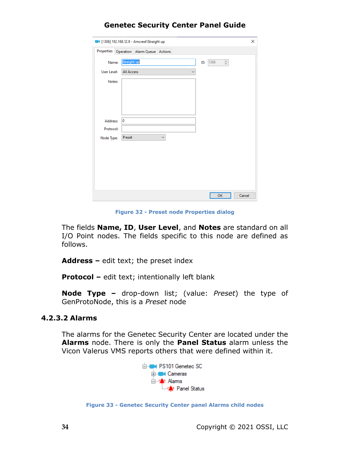|             | 1306] 192.168.12.9 - Amcrest\Straight up      | ×      |
|-------------|-----------------------------------------------|--------|
|             | Properties Operation Alarm Queue Actions      |        |
| Name:       | Straight up<br>$\frac{a}{\pi}$<br>1306<br>ID: |        |
| User Level: | <b>All Access</b><br>$\checkmark$             |        |
| Notes:      |                                               |        |
|             |                                               |        |
|             |                                               |        |
|             |                                               |        |
| Address:    | 0                                             |        |
| Protocol:   |                                               |        |
| Node Type:  | Preset<br>$\checkmark$                        |        |
|             |                                               |        |
|             |                                               |        |
|             |                                               |        |
|             |                                               |        |
|             |                                               |        |
|             |                                               |        |
|             | OK                                            | Cancel |

**Figure 32 - Preset node Properties dialog**

The fields **Name, ID**, **User Level**, and **Notes** are standard on all I/O Point nodes. The fields specific to this node are defined as follows.

**Address –** edit text; the preset index

**Protocol –** edit text; intentionally left blank

**Node Type –** drop-down list; (value: *Preset*) the type of GenProtoNode, this is a *Preset* node

#### <span id="page-33-0"></span>**4.2.3.2 Alarms**

The alarms for the Genetec Security Center are located under the **Alarms** node. There is only the **Panel Status** alarm unless the Vicon Valerus VMS reports others that were defined within it.



**Figure 33 - Genetec Security Center panel Alarms child nodes**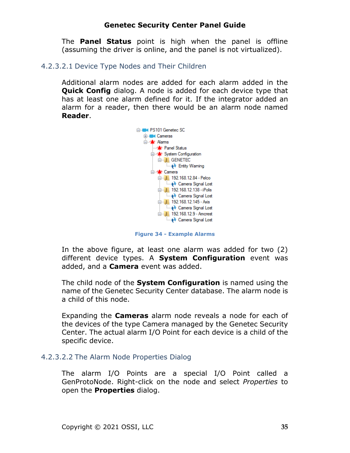The **Panel Status** point is high when the panel is offline (assuming the driver is online, and the panel is not virtualized).

#### <span id="page-34-0"></span>4.2.3.2.1 Device Type Nodes and Their Children

Additional alarm nodes are added for each alarm added in the **Quick Config** dialog. A node is added for each device type that has at least one alarm defined for it. If the integrator added an alarm for a reader, then there would be an alarm node named **Reader**.



**Figure 34 - Example Alarms**

In the above figure, at least one alarm was added for two (2) different device types. A **System Configuration** event was added, and a **Camera** event was added.

The child node of the **System Configuration** is named using the name of the Genetec Security Center database. The alarm node is a child of this node.

Expanding the **Cameras** alarm node reveals a node for each of the devices of the type Camera managed by the Genetec Security Center. The actual alarm I/O Point for each device is a child of the specific device.

#### <span id="page-34-1"></span>4.2.3.2.2 The Alarm Node Properties Dialog

The alarm I/O Points are a special I/O Point called a GenProtoNode. Right-click on the node and select *Properties* to open the **Properties** dialog.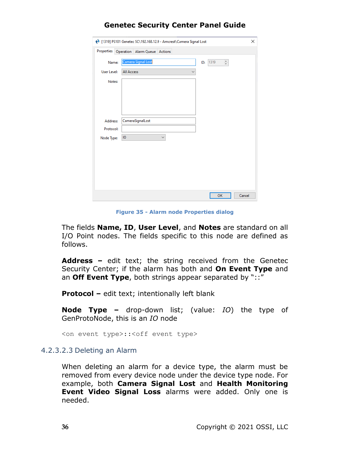| (1319) PS101 Genetec SC\192.168.12.9 - Amcrest\Camera Signal Lost<br>× |                                                      |        |  |  |  |
|------------------------------------------------------------------------|------------------------------------------------------|--------|--|--|--|
|                                                                        | Properties Operation Alarm Queue Actions             |        |  |  |  |
| Name:                                                                  | Camera Signal Lost<br>$\frac{a}{\pi}$<br>1319<br>ID: |        |  |  |  |
| User Level:                                                            | <b>All Access</b>                                    |        |  |  |  |
| Notes:                                                                 |                                                      |        |  |  |  |
|                                                                        |                                                      |        |  |  |  |
|                                                                        |                                                      |        |  |  |  |
|                                                                        |                                                      |        |  |  |  |
| Address:                                                               | CameraSignalLost                                     |        |  |  |  |
| Protocol:                                                              |                                                      |        |  |  |  |
| Node Type:                                                             | $\overline{10}$<br>$\checkmark$                      |        |  |  |  |
|                                                                        |                                                      |        |  |  |  |
|                                                                        |                                                      |        |  |  |  |
|                                                                        |                                                      |        |  |  |  |
|                                                                        |                                                      |        |  |  |  |
|                                                                        |                                                      |        |  |  |  |
|                                                                        | OK                                                   | Cancel |  |  |  |

**Figure 35 - Alarm node Properties dialog**

The fields **Name, ID**, **User Level**, and **Notes** are standard on all I/O Point nodes. The fields specific to this node are defined as follows.

**Address –** edit text; the string received from the Genetec Security Center; if the alarm has both and **On Event Type** and an **Off Event Type**, both strings appear separated by "::"

**Protocol –** edit text; intentionally left blank

**Node Type –** drop-down list; (value: *IO*) the type of GenProtoNode, this is an *IO* node

<on event type>::<off event type>

#### <span id="page-35-0"></span>4.2.3.2.3 Deleting an Alarm

When deleting an alarm for a device type, the alarm must be removed from every device node under the device type node. For example, both **Camera Signal Lost** and **Health Monitoring Event Video Signal Loss** alarms were added. Only one is needed.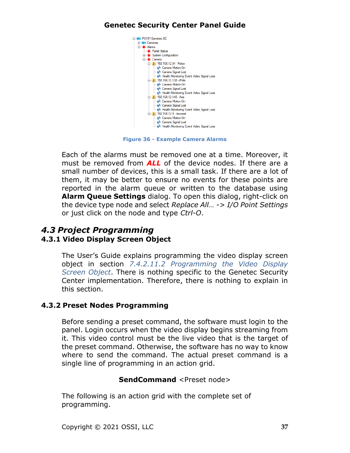

**Figure 36 - Example Camera Alarms**

Each of the alarms must be removed one at a time. Moreover, it must be removed from *ALL* of the device nodes. If there are a small number of devices, this is a small task. If there are a lot of them, it may be better to ensure no events for these points are reported in the alarm queue or written to the database using **Alarm Queue Settings** dialog. To open this dialog, right-click on the device type node and select *Replace All… -> I/O Point Settings* or just click on the node and type *Ctrl-O*.

### <span id="page-36-1"></span><span id="page-36-0"></span>*4.3 Project Programming* **4.3.1 Video Display Screen Object**

The User's Guide explains programming the video display screen object in section *7.4.2.11.2 Programming the Video Display Screen Object*. There is nothing specific to the Genetec Security Center implementation. Therefore, there is nothing to explain in this section.

#### <span id="page-36-2"></span>**4.3.2 Preset Nodes Programming**

Before sending a preset command, the software must login to the panel. Login occurs when the video display begins streaming from it. This video control must be the live video that is the target of the preset command. Otherwise, the software has no way to know where to send the command. The actual preset command is a single line of programming in an action grid.

#### **SendCommand** <Preset node>

The following is an action grid with the complete set of programming.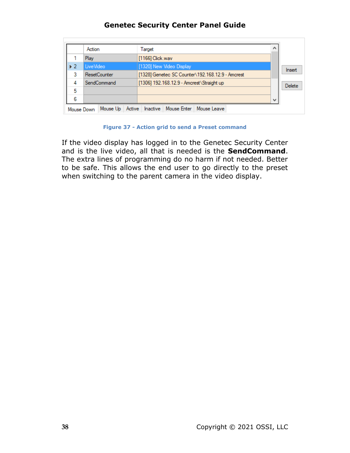|                         |             | Action<br>Target    |                                            |                                                  | ́ |                           |        |        |  |
|-------------------------|-------------|---------------------|--------------------------------------------|--------------------------------------------------|---|---------------------------|--------|--------|--|
|                         | Play        |                     |                                            | [1166] Click.wav                                 |   |                           |        |        |  |
| $\blacktriangleright$ 2 | LiveVideo   |                     |                                            | [1320] New Video Display                         |   |                           |        | Insert |  |
| 3                       |             | <b>ResetCounter</b> |                                            | [1328] Genetec SC Counter\192.168.12.9 - Amcrest |   |                           |        |        |  |
| 4                       | SendCommand |                     | [1306] 192.168.12.9 - Amcrest \Straight up |                                                  |   |                           | Delete |        |  |
| 5                       |             |                     |                                            |                                                  |   |                           |        |        |  |
| 6                       |             |                     |                                            |                                                  |   |                           |        | w      |  |
|                         | Mouse Down  | Mouse Up            | Active                                     | <b>Inactive</b>                                  |   | Mouse Enter   Mouse Leave |        |        |  |

#### **Figure 37 - Action grid to send a Preset command**

If the video display has logged in to the Genetec Security Center and is the live video, all that is needed is the **SendCommand**. The extra lines of programming do no harm if not needed. Better to be safe. This allows the end user to go directly to the preset when switching to the parent camera in the video display.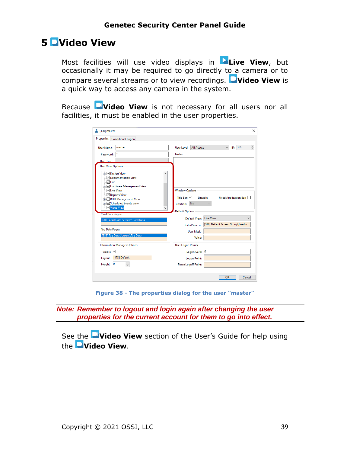## <span id="page-38-0"></span>**5 Video View**

Most facilities will use video displays in **Live View**, but occasionally it may be required to go directly to a camera or to compare several streams or to view recordings. **Video View** is a quick way to access any camera in the system.

Because **Video View** is not necessary for all users nor all facilities, it must be enabled in the user properties.

| 1396] master                                  |                                                                    |                     | $\times$                          |  |  |
|-----------------------------------------------|--------------------------------------------------------------------|---------------------|-----------------------------------|--|--|
| <b>Properties</b><br><b>Conditional Logon</b> |                                                                    |                     |                                   |  |  |
| master<br>User Name:                          | User Level:                                                        | <b>All Access</b>   | $\hat{\div}$<br>396<br>ID:        |  |  |
| Password:                                     | Notes:                                                             |                     |                                   |  |  |
| <b>User Type:</b>                             |                                                                    |                     |                                   |  |  |
| <b>User View Options</b>                      |                                                                    |                     |                                   |  |  |
| <b>E</b> Design View<br>Documentation View    |                                                                    |                     |                                   |  |  |
| √ Exit                                        |                                                                    |                     |                                   |  |  |
| <b>E-</b> Hardware Management View            |                                                                    |                     |                                   |  |  |
| √Live View<br>Reports View                    | <b>Window Options</b>                                              |                     |                                   |  |  |
| <b>E.</b> RFID Management View                | Title Bar: $\boxdot$<br>$Sizeable: \Box$<br>Fixed Application Bar: |                     |                                   |  |  |
| <b>E</b> √Scheduled Events View               | Position:                                                          | Top                 |                                   |  |  |
| Video View                                    | <b>Default Options</b>                                             |                     |                                   |  |  |
| <b>Card Data Pages:</b>                       |                                                                    | Default View:       | <b>Live View</b><br>$\checkmark$  |  |  |
| [206] Card Data Screens\Card Data             | <b>Initial Screen:</b>                                             |                     | [326] Default Screen Group\LeadIn |  |  |
| <b>Tag Data Pages:</b>                        |                                                                    |                     |                                   |  |  |
| [333] Tag Data Screens\Tag Data               |                                                                    | <b>User Mask:</b>   |                                   |  |  |
|                                               |                                                                    | Voice:              |                                   |  |  |
| <b>Information Manager Options</b>            | <b>User Logon Points</b>                                           |                     |                                   |  |  |
| Visible: $\nabla$                             |                                                                    | Logon Card:         | $\overline{\mathbf{0}}$           |  |  |
| [173] Default<br>Layout:                      |                                                                    | <b>Logon Point:</b> |                                   |  |  |
| ÷<br>$\overline{0}$<br>Height:                | <b>Force Logoff Point:</b>                                         |                     |                                   |  |  |
|                                               |                                                                    |                     |                                   |  |  |
|                                               |                                                                    |                     | OK<br>Cancel                      |  |  |

**Figure 38 - The properties dialog for the user "master"**

*Note: Remember to logout and login again after changing the user properties for the current account for them to go into effect.*

See the **Video View** section of the User's Guide for help using the **Video View**.